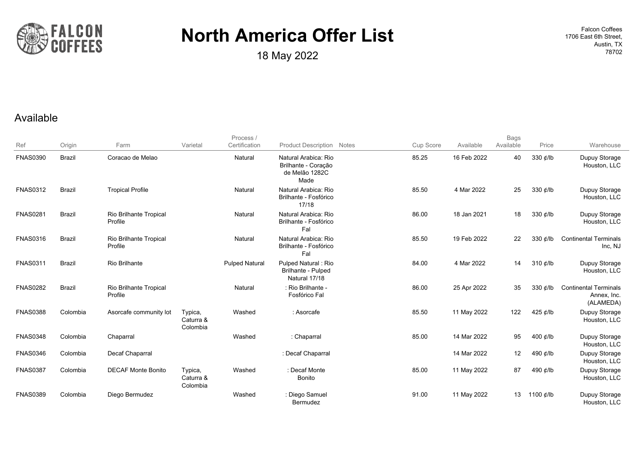

**18 May 2022 18 May 2022 18 May 2022 18 May 2022 18 May 2022 18 May 2022 18 May 2022 18 May 18702 18702** 

1706 East 6th Street, Austin, TX

#### Available

|                 |               |                                   |                                  | Process /             |                                                                       |           |             | <b>Bags</b> |                |                                                          |
|-----------------|---------------|-----------------------------------|----------------------------------|-----------------------|-----------------------------------------------------------------------|-----------|-------------|-------------|----------------|----------------------------------------------------------|
| Ref             | Origin        | Farm                              | Varietal                         | Certification         | <b>Product Description Notes</b>                                      | Cup Score | Available   | Available   | Price          | Warehouse                                                |
| <b>FNAS0390</b> | <b>Brazil</b> | Coracao de Melao                  |                                  | Natural               | Natural Arabica: Rio<br>Brilhante - Coração<br>de Melão 1282C<br>Made | 85.25     | 16 Feb 2022 | 40          | 330 ¢/lb       | Dupuy Storage<br>Houston, LLC                            |
| <b>FNAS0312</b> | <b>Brazil</b> | <b>Tropical Profile</b>           |                                  | Natural               | Natural Arabica: Rio<br>Brilhante - Fosfórico<br>17/18                | 85.50     | 4 Mar 2022  | 25          | 330 $\phi$ /lb | Dupuy Storage<br>Houston, LLC                            |
| <b>FNAS0281</b> | <b>Brazil</b> | Rio Brilhante Tropical<br>Profile |                                  | Natural               | Natural Arabica: Rio<br>Brilhante - Fosfórico<br>Fal                  | 86.00     | 18 Jan 2021 | 18          | 330 ¢/lb       | Dupuy Storage<br>Houston, LLC                            |
| <b>FNAS0316</b> | <b>Brazil</b> | Rio Brilhante Tropical<br>Profile |                                  | Natural               | Natural Arabica: Rio<br>Brilhante - Fosfórico<br>Fal                  | 85.50     | 19 Feb 2022 | 22          | 330 ¢/lb       | <b>Continental Terminals</b><br>Inc, NJ                  |
| <b>FNAS0311</b> | <b>Brazil</b> | <b>Rio Brilhante</b>              |                                  | <b>Pulped Natural</b> | Pulped Natural: Rio<br>Brilhante - Pulped<br>Natural 17/18            | 84.00     | 4 Mar 2022  | 14          | 310 ¢/lb       | Dupuy Storage<br>Houston, LLC                            |
| <b>FNAS0282</b> | <b>Brazil</b> | Rio Brilhante Tropical<br>Profile |                                  | Natural               | : Rio Brilhante -<br>Fosfórico Fal                                    | 86.00     | 25 Apr 2022 | 35          | 330 $\ell$ /lb | <b>Continental Terminals</b><br>Annex, Inc.<br>(ALAMEDA) |
| <b>FNAS0388</b> | Colombia      | Asorcafe community lot            | Typica,<br>Caturra &<br>Colombia | Washed                | : Asorcafe                                                            | 85.50     | 11 May 2022 | 122         | 425 ¢/lb       | Dupuy Storage<br>Houston, LLC                            |
| <b>FNAS0348</b> | Colombia      | Chaparral                         |                                  | Washed                | : Chaparral                                                           | 85.00     | 14 Mar 2022 | 95          | 400 $\phi$ /lb | Dupuy Storage<br>Houston, LLC                            |
| <b>FNAS0346</b> | Colombia      | <b>Decaf Chaparral</b>            |                                  |                       | : Decaf Chaparral                                                     |           | 14 Mar 2022 | 12          | 490 ¢/lb       | Dupuy Storage<br>Houston, LLC                            |
| <b>FNAS0387</b> | Colombia      | <b>DECAF Monte Bonito</b>         | Typica,<br>Caturra &<br>Colombia | Washed                | : Decaf Monte<br><b>Bonito</b>                                        | 85.00     | 11 May 2022 | 87          | 490 ¢/lb       | Dupuy Storage<br>Houston, LLC                            |
| <b>FNAS0389</b> | Colombia      | Diego Bermudez                    |                                  | Washed                | : Diego Samuel<br>Bermudez                                            | 91.00     | 11 May 2022 | 13          | 1100 ¢/lb      | Dupuy Storage<br>Houston, LLC                            |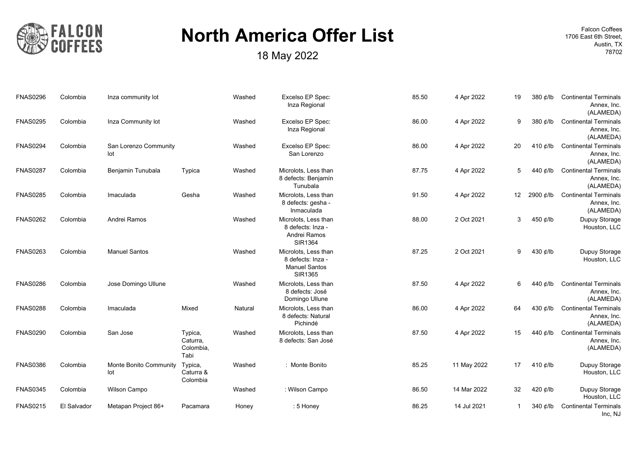

18 May 2022 **18702 18 May 2022** 

| <b>Continental Terminals</b><br>Annex, Inc.<br>(ALAMEDA) | 380 ¢/lb         | 19              | 4 Apr 2022  | 85.50 | Excelso EP Spec:<br>Inza Regional                                            | Washed  |                                          | Inza community lot            | Colombia    | <b>FNAS0296</b> |
|----------------------------------------------------------|------------------|-----------------|-------------|-------|------------------------------------------------------------------------------|---------|------------------------------------------|-------------------------------|-------------|-----------------|
| <b>Continental Terminals</b><br>Annex, Inc.<br>(ALAMEDA) | 380 $\ell$ /lb   | 9               | 4 Apr 2022  | 86.00 | Excelso EP Spec:<br>Inza Regional                                            | Washed  |                                          | Inza Community lot            | Colombia    | <b>FNAS0295</b> |
| <b>Continental Terminals</b><br>Annex, Inc.<br>(ALAMEDA) | 410 $\phi$ /lb   | 20              | 4 Apr 2022  | 86.00 | Excelso EP Spec:<br>San Lorenzo                                              | Washed  |                                          | San Lorenzo Community<br>lot  | Colombia    | <b>FNAS0294</b> |
| <b>Continental Terminals</b><br>Annex, Inc.<br>(ALAMEDA) | 440 ¢/lb         | 5               | 4 Apr 2022  | 87.75 | Microlots, Less than<br>8 defects: Benjamín<br>Tunubala                      | Washed  | Typica                                   | Benjamin Tunubala             | Colombia    | <b>FNAS0287</b> |
| <b>Continental Terminals</b><br>Annex, Inc.<br>(ALAMEDA) | 2900 ¢/lb        | 12 <sup>2</sup> | 4 Apr 2022  | 91.50 | Microlots, Less than<br>8 defects: gesha -<br>Inmaculada                     | Washed  | Gesha                                    | Imaculada                     | Colombia    | <b>FNAS0285</b> |
| Dupuy Storage<br>Houston, LLC                            | 450 ¢/lb         | 3               | 2 Oct 2021  | 88.00 | Microlots, Less than<br>8 defects: Inza -<br>Andrei Ramos<br>SIR1364         | Washed  |                                          | Andrei Ramos                  | Colombia    | <b>FNAS0262</b> |
| Dupuy Storage<br>Houston, LLC                            | 430 ¢/lb         | 9               | 2 Oct 2021  | 87.25 | Microlots, Less than<br>8 defects: Inza -<br><b>Manuel Santos</b><br>SIR1365 | Washed  |                                          | <b>Manuel Santos</b>          | Colombia    | <b>FNAS0263</b> |
| <b>Continental Terminals</b><br>Annex, Inc.<br>(ALAMEDA) | 440 ¢/lb         | 6               | 4 Apr 2022  | 87.50 | Microlots, Less than<br>8 defects: José<br>Domingo Ullune                    | Washed  |                                          | Jose Domingo Ullune           | Colombia    | <b>FNAS0286</b> |
| <b>Continental Terminals</b><br>Annex, Inc.<br>(ALAMEDA) | 430 ¢/lb         | 64              | 4 Apr 2022  | 86.00 | Microlots, Less than<br>8 defects: Natural<br>Pichindé                       | Natural | Mixed                                    | Imaculada                     | Colombia    | <b>FNAS0288</b> |
| <b>Continental Terminals</b><br>Annex, Inc.<br>(ALAMEDA) | 440 ¢/lb         | 15              | 4 Apr 2022  | 87.50 | Microlots, Less than<br>8 defects: San José                                  | Washed  | Typica,<br>Caturra,<br>Colombia,<br>Tabi | San Jose                      | Colombia    | <b>FNAS0290</b> |
| Dupuy Storage<br>Houston, LLC                            | 410 $\notin$ /lb | 17              | 11 May 2022 | 85.25 | : Monte Bonito                                                               | Washed  | Typica,<br>Caturra &<br>Colombia         | Monte Bonito Community<br>lot | Colombia    | <b>FNAS0386</b> |
| Dupuy Storage<br>Houston, LLC                            | 420 ¢/lb         | 32              | 14 Mar 2022 | 86.50 | : Wilson Campo                                                               | Washed  |                                          | Wilson Campo                  | Colombia    | <b>FNAS0345</b> |
| <b>Continental Terminals</b><br>Inc, NJ                  | 340 $\phi$ /lb   |                 | 14 Jul 2021 | 86.25 | : 5 Honey                                                                    | Honey   | Pacamara                                 | Metapan Project 86+           | El Salvador | <b>FNAS0215</b> |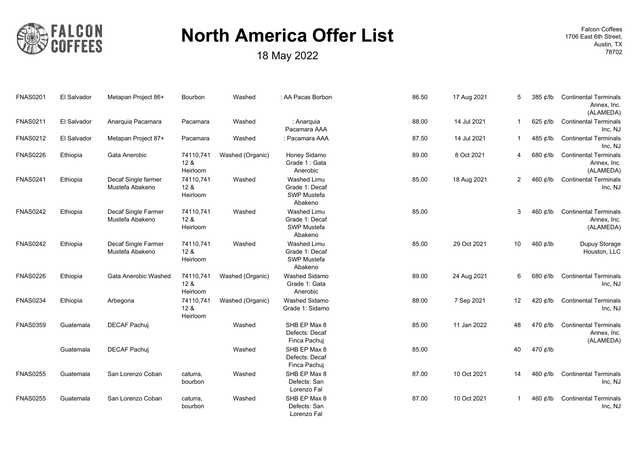

**18 May 2022 18 May 2022 18 May 2022 18 May 2022 18 May 2022 18 May 2022 18 May 2022 18 May 18702 18702** 

| <b>Continental Terminals</b><br>Annex, Inc.<br>(ALAMEDA) | 385 ¢/lb       | 5            | 17 Aug 2021 | 86.50 | : AA Pacas Borbon                                                     | Washed           | Bourbon                                  | Metapan Project 86+                    | El Salvador | <b>FNAS0201</b> |
|----------------------------------------------------------|----------------|--------------|-------------|-------|-----------------------------------------------------------------------|------------------|------------------------------------------|----------------------------------------|-------------|-----------------|
| <b>Continental Terminals</b><br>Inc, NJ                  | 625 $\ell$ /lb | 1            | 14 Jul 2021 | 88.00 | : Anarquia<br>Pacamara AAA                                            | Washed           | Pacamara                                 | Anarquia Pacamara                      | El Salvador | <b>FNAS0211</b> |
| <b>Continental Terminals</b><br>Inc, NJ                  | 485 ¢/lb       | 1            | 14 Jul 2021 | 87.50 | : Pacamara AAA                                                        | Washed           | Pacamara                                 | Metapan Project 87+                    | El Salvador | <b>FNAS0212</b> |
| <b>Continental Terminals</b><br>Annex, Inc.<br>(ALAMEDA) | 680 ¢/lb       | 4            | 8 Oct 2021  | 89.00 | Honey Sidamo<br>Grade 1: Gata<br>Anerobic                             | Washed (Organic) | 74110,741<br>12 <sub>8</sub><br>Heirloom | Gata Anerobic                          | Ethiopia    | <b>FNAS0226</b> |
| <b>Continental Terminals</b><br>Inc, NJ                  | 460 ¢/lb       | 2            | 18 Aug 2021 | 85.00 | <b>Washed Limu</b><br>Grade 1: Decaf<br><b>SWP Mustefa</b><br>Abakeno | Washed           | 74110,741<br>12 <sub>8</sub><br>Heirloom | Decaf Single farmer<br>Mustefa Abakeno | Ethiopia    | <b>FNAS0241</b> |
| <b>Continental Terminals</b><br>Annex, Inc.<br>(ALAMEDA) | 460 ¢/lb       | 3            |             | 85.00 | <b>Washed Limu</b><br>Grade 1: Decaf<br>SWP Mustefa<br>Abakeno        | Washed           | 74110,741<br>12 <sub>8</sub><br>Heirloom | Decaf Single Farmer<br>Mustefa Abakeno | Ethiopia    | <b>FNAS0242</b> |
| Dupuy Storage<br>Houston, LLC                            | 460 ¢/lb       | 10           | 29 Oct 2021 | 85.00 | Washed Limu<br>Grade 1: Decaf<br>SWP Mustefa<br>Abakeno               | Washed           | 74110,741<br>128<br>Heirloom             | Decaf Single Farmer<br>Mustefa Abakeno | Ethiopia    | <b>FNAS0242</b> |
| <b>Continental Terminals</b><br>Inc, NJ                  | 680 ¢/lb       | 6            | 24 Aug 2021 | 89.00 | Washed Sidamo<br>Grade 1: Gata<br>Anerobic                            | Washed (Organic) | 74110,741<br>12 <sub>8</sub><br>Heirloom | Gata Anerobic Washed                   | Ethiopia    | <b>FNAS0226</b> |
| <b>Continental Terminals</b><br>Inc, NJ                  | 420 ¢/lb       | 12           | 7 Sep 2021  | 88.00 | Washed Sidamo<br>Grade 1: Sidamo                                      | Washed (Organic) | 74110.741<br>12 <sub>8</sub><br>Heirloom | Arbegona                               | Ethiopia    | <b>FNAS0234</b> |
| <b>Continental Terminals</b><br>Annex, Inc.<br>(ALAMEDA) | 470 ¢/lb       | 48           | 11 Jan 2022 | 85.00 | SHB EP Max 8<br>Defects: Decaf<br>Finca Pachuj                        | Washed           |                                          | <b>DECAF Pachuj</b>                    | Guatemala   | <b>FNAS0359</b> |
|                                                          | 470 ¢/lb       | 40           |             | 85.00 | SHB EP Max 8<br>Defects: Decaf<br>Finca Pachuj                        | Washed           |                                          | <b>DECAF Pachui</b>                    | Guatemala   |                 |
| <b>Continental Terminals</b><br>Inc, NJ                  | 460 ¢/lb       | 14           | 10 Oct 2021 | 87.00 | SHB EP Max 8<br>Defects: San<br>Lorenzo Fal                           | Washed           | caturra,<br>bourbon                      | San Lorenzo Coban                      | Guatemala   | <b>FNAS0255</b> |
| <b>Continental Terminals</b><br>Inc, NJ                  | 460 ¢/lb       | $\mathbf{1}$ | 10 Oct 2021 | 87.00 | SHB EP Max 8<br>Defects: San<br>Lorenzo Fal                           | Washed           | caturra,<br>bourbon                      | San Lorenzo Coban                      | Guatemala   | <b>FNAS0255</b> |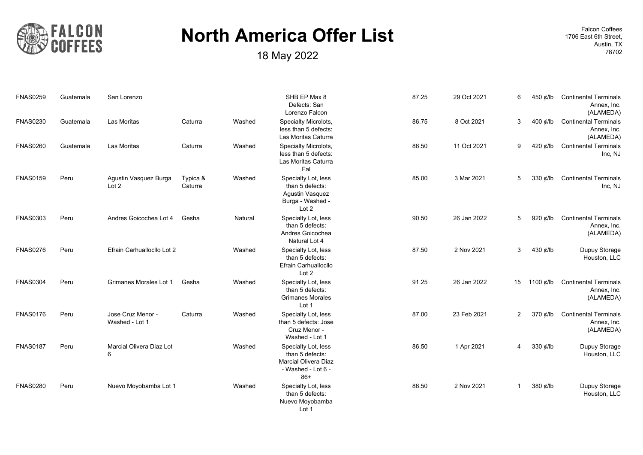

18 May 2022 **18702 18 May 2022** 

| <b>FNAS0259</b> | Guatemala | San Lorenzo                         |                     |         | SHB EP Max 8<br>Defects: San<br>Lorenzo Falcon                                                | 87.25 | 29 Oct 2021 | 6              | 450 ¢/lb       | <b>Continental Terminals</b><br>Annex, Inc.<br>(ALAMEDA) |
|-----------------|-----------|-------------------------------------|---------------------|---------|-----------------------------------------------------------------------------------------------|-------|-------------|----------------|----------------|----------------------------------------------------------|
| <b>FNAS0230</b> | Guatemala | Las Moritas                         | Caturra             | Washed  | Specialty Microlots,<br>less than 5 defects:<br>Las Moritas Caturra                           | 86.75 | 8 Oct 2021  | 3              | 400 $\phi$ /lb | <b>Continental Terminals</b><br>Annex, Inc.<br>(ALAMEDA) |
| <b>FNAS0260</b> | Guatemala | Las Moritas                         | Caturra             | Washed  | Specialty Microlots,<br>less than 5 defects:<br>Las Moritas Caturra<br>Fal                    | 86.50 | 11 Oct 2021 | 9              | 420 $\phi$ /lb | <b>Continental Terminals</b><br>Inc, NJ                  |
| <b>FNAS0159</b> | Peru      | Agustin Vasquez Burga<br>Lot 2      | Typica &<br>Caturra | Washed  | Specialty Lot, less<br>than 5 defects:<br>Agustin Vasquez<br>Burga - Washed -<br>Lot 2        | 85.00 | 3 Mar 2021  | 5              | 330 ¢/lb       | <b>Continental Terminals</b><br>Inc, NJ                  |
| <b>FNAS0303</b> | Peru      | Andres Goicochea Lot 4              | Gesha               | Natural | Specialty Lot, less<br>than 5 defects:<br>Andres Goicochea<br>Natural Lot 4                   | 90.50 | 26 Jan 2022 | 5              | 920 ¢/lb       | <b>Continental Terminals</b><br>Annex, Inc.<br>(ALAMEDA) |
| <b>FNAS0276</b> | Peru      | Efrain Carhuallocllo Lot 2          |                     | Washed  | Specialty Lot, less<br>than 5 defects:<br>Efrain Carhuallocllo<br>Lot 2                       | 87.50 | 2 Nov 2021  | 3              | 430 ¢/lb       | Dupuy Storage<br>Houston, LLC                            |
| <b>FNAS0304</b> | Peru      | Grimanes Morales Lot 1              | Gesha               | Washed  | Specialty Lot, less<br>than 5 defects:<br><b>Grimanes Morales</b><br>Lot 1                    | 91.25 | 26 Jan 2022 | 15             | 1100 ¢/lb      | <b>Continental Terminals</b><br>Annex, Inc.<br>(ALAMEDA) |
| <b>FNAS0176</b> | Peru      | Jose Cruz Menor -<br>Washed - Lot 1 | Caturra             | Washed  | Specialty Lot, less<br>than 5 defects: Jose<br>Cruz Menor -<br>Washed - Lot 1                 | 87.00 | 23 Feb 2021 | $\overline{2}$ | 370 ¢/lb       | <b>Continental Terminals</b><br>Annex, Inc.<br>(ALAMEDA) |
| <b>FNAS0187</b> | Peru      | Marcial Olivera Diaz Lot<br>6       |                     | Washed  | Specialty Lot, less<br>than 5 defects:<br>Marcial Olivera Diaz<br>- Washed - Lot 6 -<br>$86+$ | 86.50 | 1 Apr 2021  | 4              | 330 ¢/lb       | Dupuy Storage<br>Houston, LLC                            |
| <b>FNAS0280</b> | Peru      | Nuevo Moyobamba Lot 1               |                     | Washed  | Specialty Lot, less<br>than 5 defects:<br>Nuevo Moyobamba<br>Lot 1                            | 86.50 | 2 Nov 2021  | $\mathbf{1}$   | 380 ¢/lb       | Dupuy Storage<br>Houston, LLC                            |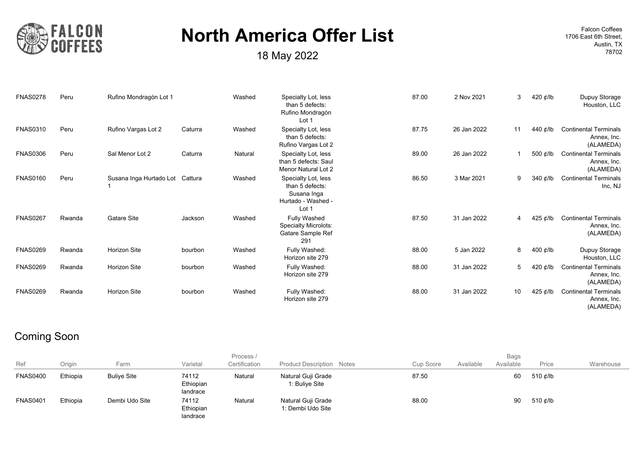

**18 May 2022 18 May 2022 18 May 2022 18 May 2022 18 May 2022 18 May 2022 18 May 2022 18 May 18702 18702** 

1706 East 6th Street, Austin, TX

| <b>FNAS0278</b> | Peru   | Rufino Mondragón Lot 1          |         | Washed  | Specialty Lot, less<br>than 5 defects:<br>Rufino Mondragón<br>Lot 1                  | 87.00 | 2 Nov 2021  | 3  | 420 ¢/lb       | Dupuy Storage<br>Houston, LLC                            |
|-----------------|--------|---------------------------------|---------|---------|--------------------------------------------------------------------------------------|-------|-------------|----|----------------|----------------------------------------------------------|
| <b>FNAS0310</b> | Peru   | Rufino Vargas Lot 2             | Caturra | Washed  | Specialty Lot, less<br>than 5 defects:<br>Rufino Vargas Lot 2                        | 87.75 | 26 Jan 2022 | 11 | 440 ¢/lb       | <b>Continental Terminals</b><br>Annex, Inc.<br>(ALAMEDA) |
| <b>FNAS0306</b> | Peru   | Sal Menor Lot 2                 | Caturra | Natural | Specialty Lot, less<br>than 5 defects: Saul<br>Menor Natural Lot 2                   | 89.00 | 26 Jan 2022 |    | 500 ¢/lb       | <b>Continental Terminals</b><br>Annex, Inc.<br>(ALAMEDA) |
| <b>FNAS0160</b> | Peru   | Susana Inga Hurtado Lot Cattura |         | Washed  | Specialty Lot, less<br>than 5 defects:<br>Susana Inga<br>Hurtado - Washed -<br>Lot 1 | 86.50 | 3 Mar 2021  | 9  | 340 $\phi$ /lb | <b>Continental Terminals</b><br>Inc, NJ                  |
| <b>FNAS0267</b> | Rwanda | Gatare Site                     | Jackson | Washed  | Fully Washed<br><b>Specialty Microlots:</b><br>Gatare Sample Ref<br>291              | 87.50 | 31 Jan 2022 | 4  | 425 ¢/lb       | <b>Continental Terminals</b><br>Annex, Inc.<br>(ALAMEDA) |
| <b>FNAS0269</b> | Rwanda | <b>Horizon Site</b>             | bourbon | Washed  | Fully Washed:<br>Horizon site 279                                                    | 88.00 | 5 Jan 2022  | 8  | 400 $\phi$ /lb | Dupuy Storage<br>Houston, LLC                            |
| <b>FNAS0269</b> | Rwanda | Horizon Site                    | bourbon | Washed  | Fully Washed:<br>Horizon site 279                                                    | 88.00 | 31 Jan 2022 | 5  | 420 $\phi$ /lb | <b>Continental Terminals</b><br>Annex, Inc.<br>(ALAMEDA) |
| <b>FNAS0269</b> | Rwanda | <b>Horizon Site</b>             | bourbon | Washed  | Fully Washed:<br>Horizon site 279                                                    | 88.00 | 31 Jan 2022 | 10 | 425 ¢/lb       | <b>Continental Terminals</b><br>Annex, Inc.<br>(ALAMEDA) |

#### Coming Soon

| Ref             | Origin   | Farm               | Varietal                       | Process /<br>Certification | <b>Product Description Notes</b>        | Cup Score | Available | <b>Bags</b><br>Available | Price    | Warehouse |
|-----------------|----------|--------------------|--------------------------------|----------------------------|-----------------------------------------|-----------|-----------|--------------------------|----------|-----------|
| <b>FNAS0400</b> | Ethiopia | <b>Bulive Site</b> | 74112<br>Ethiopian<br>landrace | Natural                    | Natural Guji Grade<br>1: Buliye Site    | 87.50     |           | 60                       | 510 ¢/lb |           |
| <b>FNAS0401</b> | Ethiopia | Dembi Udo Site     | 74112<br>Ethiopian<br>landrace | Natural                    | Natural Guji Grade<br>1: Dembi Udo Site | 88.00     |           | 90                       | 510 ¢/lb |           |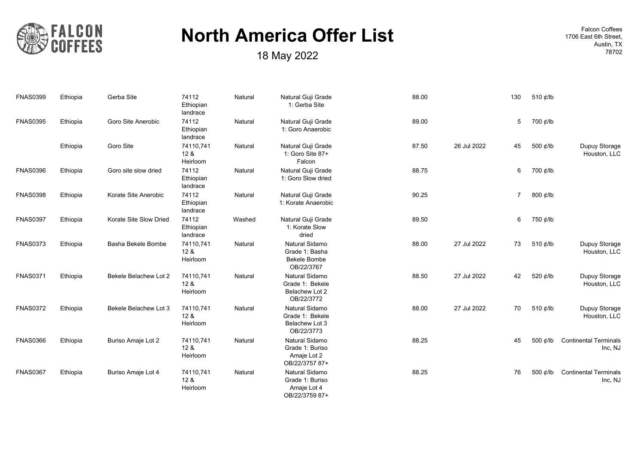

18 May 2022 **18702 18 May 2022** 

|                                         | 510 ¢/lb | 130 |             | 88.00 | Natural Guji Grade<br>1: Gerba Site                                   | Natural | 74112<br>Ethiopian<br>landrace           | Gerba Site             | Ethiopia | <b>FNAS0399</b> |
|-----------------------------------------|----------|-----|-------------|-------|-----------------------------------------------------------------------|---------|------------------------------------------|------------------------|----------|-----------------|
|                                         | 700 ¢/lb | 5   |             | 89.00 | Natural Guji Grade<br>1: Goro Anaerobic                               | Natural | 74112<br>Ethiopian<br>landrace           | Goro Site Anerobic     | Ethiopia | <b>FNAS0395</b> |
| Dupuy Storage<br>Houston, LLC           | 500 ¢/lb | 45  | 26 Jul 2022 | 87.50 | Natural Guji Grade<br>1: Goro Site 87+<br>Falcon                      | Natural | 74110,741<br>12 <sub>8</sub><br>Heirloom | Goro Site              | Ethiopia |                 |
|                                         | 700 ¢/lb | 6   |             | 88.75 | Natural Guji Grade<br>1: Goro Slow dried                              | Natural | 74112<br>Ethiopian<br>landrace           | Goro site slow dried   | Ethiopia | <b>FNAS0396</b> |
|                                         | 800 ¢/lb | 7   |             | 90.25 | Natural Guji Grade<br>1: Korate Anaerobic                             | Natural | 74112<br>Ethiopian<br>landrace           | Korate Site Anerobic   | Ethiopia | <b>FNAS0398</b> |
|                                         | 750 ¢/lb | 6   |             | 89.50 | Natural Guji Grade<br>1: Korate Slow<br>dried                         | Washed  | 74112<br>Ethiopian<br>landrace           | Korate Site Slow Dried | Ethiopia | <b>FNAS0397</b> |
| Dupuy Storage<br>Houston, LLC           | 510 ¢/lb | 73  | 27 Jul 2022 | 88.00 | Natural Sidamo<br>Grade 1: Basha<br><b>Bekele Bombe</b><br>OB/22/3767 | Natural | 74110,741<br>12 <sub>8</sub><br>Heirloom | Basha Bekele Bombe     | Ethiopia | <b>FNAS0373</b> |
| Dupuy Storage<br>Houston, LLC           | 520 ¢/lb | 42  | 27 Jul 2022 | 88.50 | Natural Sidamo<br>Grade 1: Bekele<br>Belachew Lot 2<br>OB/22/3772     | Natural | 74110,741<br>12 <sub>8</sub><br>Heirloom | Bekele Belachew Lot 2  | Ethiopia | <b>FNAS0371</b> |
| Dupuy Storage<br>Houston, LLC           | 510 ¢/lb | 70  | 27 Jul 2022 | 88.00 | Natural Sidamo<br>Grade 1: Bekele<br>Belachew Lot 3<br>OB/22/3773     | Natural | 74110,741<br>12 <sub>8</sub><br>Heirloom | Bekele Belachew Lot 3  | Ethiopia | <b>FNAS0372</b> |
| <b>Continental Terminals</b><br>Inc, NJ | 500 ¢/lb | 45  |             | 88.25 | Natural Sidamo<br>Grade 1: Buriso<br>Amaje Lot 2<br>OB/22/3757 87+    | Natural | 74110,741<br>128<br>Heirloom             | Buriso Amaje Lot 2     | Ethiopia | <b>FNAS0366</b> |
| <b>Continental Terminals</b><br>Inc, NJ | 500 ¢/lb | 76  |             | 88.25 | Natural Sidamo<br>Grade 1: Buriso<br>Amaje Lot 4<br>OB/22/3759 87+    | Natural | 74110,741<br>128<br>Heirloom             | Buriso Amaje Lot 4     | Ethiopia | <b>FNAS0367</b> |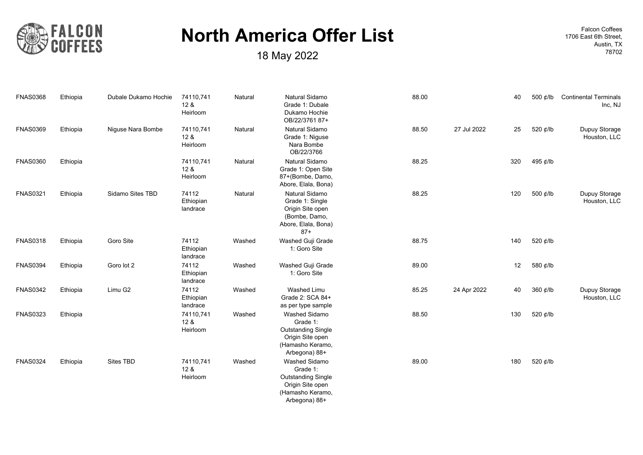

**18 May 2022 18 May 2022 18 May 2022 18 May 2022 18 May 2022 18 May 2022 18 May 2022 18 May 18702 18702** 

| <b>FNAS0368</b> | Ethiopia | Dubale Dukamo Hochie | 74110,741<br>12 <sub>8</sub><br>Heirloom | Natural | Natural Sidamo<br>Grade 1: Dubale<br>Dukamo Hochie<br>OB/22/3761 87+                                                   | 88.00 | 40                | 500 ¢/lb | <b>Continental Terminals</b><br>Inc, NJ |
|-----------------|----------|----------------------|------------------------------------------|---------|------------------------------------------------------------------------------------------------------------------------|-------|-------------------|----------|-----------------------------------------|
| <b>FNAS0369</b> | Ethiopia | Niguse Nara Bombe    | 74110,741<br>12 &<br>Heirloom            | Natural | Natural Sidamo<br>Grade 1: Niguse<br>Nara Bombe<br>OB/22/3766                                                          | 88.50 | 27 Jul 2022<br>25 | 520 ¢/lb | Dupuy Storage<br>Houston, LLC           |
| <b>FNAS0360</b> | Ethiopia |                      | 74110,741<br>12 <sub>8</sub><br>Heirloom | Natural | Natural Sidamo<br>Grade 1: Open Site<br>87+(Bombe, Damo,<br>Abore, Elala, Bona)                                        | 88.25 | 320               | 495 ¢/lb |                                         |
| <b>FNAS0321</b> | Ethiopia | Sidamo Sites TBD     | 74112<br>Ethiopian<br>landrace           | Natural | Natural Sidamo<br>Grade 1: Single<br>Origin Site open<br>(Bombe, Damo,<br>Abore, Elala, Bona)<br>$87+$                 | 88.25 | 120               | 500 ¢/lb | Dupuy Storage<br>Houston, LLC           |
| <b>FNAS0318</b> | Ethiopia | Goro Site            | 74112<br>Ethiopian<br>landrace           | Washed  | Washed Guji Grade<br>1: Goro Site                                                                                      | 88.75 | 140               | 520 ¢/lb |                                         |
| <b>FNAS0394</b> | Ethiopia | Goro lot 2           | 74112<br>Ethiopian<br>landrace           | Washed  | Washed Guji Grade<br>1: Goro Site                                                                                      | 89.00 | 12                | 580 ¢/lb |                                         |
| <b>FNAS0342</b> | Ethiopia | Limu G2              | 74112<br>Ethiopian<br>landrace           | Washed  | <b>Washed Limu</b><br>Grade 2: SCA 84+<br>as per type sample                                                           | 85.25 | 24 Apr 2022<br>40 | 360 ¢/lb | Dupuy Storage<br>Houston, LLC           |
| <b>FNAS0323</b> | Ethiopia |                      | 74110,741<br>12 <sub>8</sub><br>Heirloom | Washed  | <b>Washed Sidamo</b><br>Grade 1:<br><b>Outstanding Single</b><br>Origin Site open<br>(Hamasho Keramo,<br>Arbegona) 88+ | 88.50 | 130               | 520 ¢/lb |                                         |
| <b>FNAS0324</b> | Ethiopia | Sites TBD            | 74110,741<br>12 <sub>8</sub><br>Heirloom | Washed  | Washed Sidamo<br>Grade 1:<br><b>Outstanding Single</b><br>Origin Site open<br>(Hamasho Keramo,<br>Arbegona) 88+        | 89.00 | 180               | 520 ¢/lb |                                         |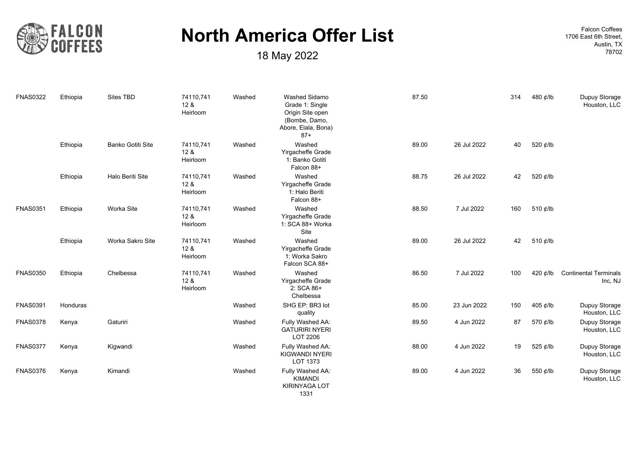

18 May 2022 **18702 18 May 2022** 

| <b>FNAS0322</b> | Ethiopia | Sites TBD         | 74110,741<br>12 <sub>8</sub><br>Heirloom | Washed | <b>Washed Sidamo</b><br>Grade 1: Single<br>Origin Site open<br>(Bombe, Damo,<br>Abore, Elala, Bona)<br>$87+$ | 87.50 |             | 314 | 480 ¢/lb | Dupuy Storage<br>Houston, LLC           |
|-----------------|----------|-------------------|------------------------------------------|--------|--------------------------------------------------------------------------------------------------------------|-------|-------------|-----|----------|-----------------------------------------|
|                 | Ethiopia | Banko Gotiti Site | 74110,741<br>128<br>Heirloom             | Washed | Washed<br>Yirgacheffe Grade<br>1: Banko Gotiti<br>Falcon 88+                                                 | 89.00 | 26 Jul 2022 | 40  | 520 ¢/lb |                                         |
|                 | Ethiopia | Halo Beriti Site  | 74110,741<br>12 <sub>8</sub><br>Heirloom | Washed | Washed<br>Yirgacheffe Grade<br>1: Halo Beriti<br>Falcon 88+                                                  | 88.75 | 26 Jul 2022 | 42  | 520 ¢/lb |                                         |
| <b>FNAS0351</b> | Ethiopia | Worka Site        | 74110,741<br>12 <sub>8</sub><br>Heirloom | Washed | Washed<br>Yirgacheffe Grade<br>1: SCA 88+ Worka<br>Site                                                      | 88.50 | 7 Jul 2022  | 160 | 510 ¢/lb |                                         |
|                 | Ethiopia | Worka Sakro Site  | 74110,741<br>12 <sub>8</sub><br>Heirloom | Washed | Washed<br>Yirgacheffe Grade<br>1: Worka Sakro<br>Falcon SCA 88+                                              | 89.00 | 26 Jul 2022 | 42  | 510 ¢/lb |                                         |
| <b>FNAS0350</b> | Ethiopia | Chelbessa         | 74110,741<br>12 <sub>8</sub><br>Heirloom | Washed | Washed<br>Yirgacheffe Grade<br>2: SCA 86+<br>Chelbessa                                                       | 86.50 | 7 Jul 2022  | 100 | 420 ¢/lb | <b>Continental Terminals</b><br>Inc, NJ |
| <b>FNAS0391</b> | Honduras |                   |                                          | Washed | SHG EP: BR3 lot<br>quality                                                                                   | 85.00 | 23 Jun 2022 | 150 | 405 ¢/lb | Dupuy Storage<br>Houston, LLC           |
| <b>FNAS0378</b> | Kenya    | Gaturiri          |                                          | Washed | Fully Washed AA:<br><b>GATURIRI NYERI</b><br>LOT 2206                                                        | 89.50 | 4 Jun 2022  | 87  | 570 ¢/lb | Dupuy Storage<br>Houston, LLC           |
| <b>FNAS0377</b> | Kenya    | Kigwandi          |                                          | Washed | Fully Washed AA:<br><b>KIGWANDI NYERI</b><br>LOT 1373                                                        | 88.00 | 4 Jun 2022  | 19  | 525 ¢/lb | Dupuy Storage<br>Houston, LLC           |
| <b>FNAS0376</b> | Kenya    | Kimandi           |                                          | Washed | Fully Washed AA:<br><b>KIMANDI</b><br>KIRINYAGA LOT<br>1331                                                  | 89.00 | 4 Jun 2022  | 36  | 550 ¢/lb | Dupuy Storage<br>Houston, LLC           |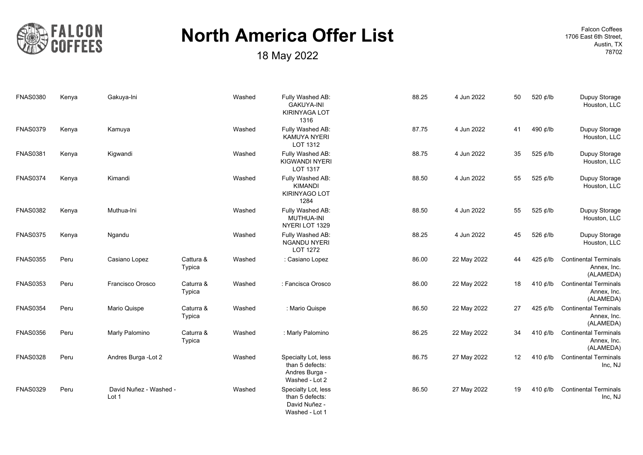

**18 May 2022 18 May 2022 18 May 2022 18 May 2022 18 May 2022 18 May 2022 18 May 2022 18 May 18702 18702** 

| <b>FNAS0380</b> | Kenya | Gakuya-Ini                      |                     | Washed | Fully Washed AB:<br><b>GAKUYA-INI</b><br><b>KIRINYAGA LOT</b><br>1316      | 88.25 | 4 Jun 2022  | 50 | 520 ¢/lb       | Dupuy Storage<br>Houston, LLC                            |
|-----------------|-------|---------------------------------|---------------------|--------|----------------------------------------------------------------------------|-------|-------------|----|----------------|----------------------------------------------------------|
| <b>FNAS0379</b> | Kenya | Kamuya                          |                     | Washed | Fully Washed AB:<br><b>KAMUYA NYERI</b><br>LOT 1312                        | 87.75 | 4 Jun 2022  | 41 | 490 ¢/lb       | Dupuy Storage<br>Houston, LLC                            |
| <b>FNAS0381</b> | Kenya | Kigwandi                        |                     | Washed | Fully Washed AB:<br>KIGWANDI NYERI<br>LOT 1317                             | 88.75 | 4 Jun 2022  | 35 | 525 ¢/lb       | Dupuy Storage<br>Houston, LLC                            |
| <b>FNAS0374</b> | Kenya | Kimandi                         |                     | Washed | Fully Washed AB:<br><b>KIMANDI</b><br>KIRINYAGO LOT<br>1284                | 88.50 | 4 Jun 2022  | 55 | 525 ¢/lb       | Dupuy Storage<br>Houston, LLC                            |
| <b>FNAS0382</b> | Kenya | Muthua-Ini                      |                     | Washed | Fully Washed AB:<br>MUTHUA-INI<br>NYERI LOT 1329                           | 88.50 | 4 Jun 2022  | 55 | 525 ¢/lb       | Dupuy Storage<br>Houston, LLC                            |
| <b>FNAS0375</b> | Kenya | Ngandu                          |                     | Washed | Fully Washed AB:<br><b>NGANDU NYERI</b><br>LOT 1272                        | 88.25 | 4 Jun 2022  | 45 | 526 ¢/lb       | Dupuy Storage<br>Houston, LLC                            |
| <b>FNAS0355</b> | Peru  | Casiano Lopez                   | Cattura &<br>Typica | Washed | : Casiano Lopez                                                            | 86.00 | 22 May 2022 | 44 | 425 ¢/lb       | <b>Continental Terminals</b><br>Annex, Inc.<br>(ALAMEDA) |
| <b>FNAS0353</b> | Peru  | Francisco Orosco                | Caturra &<br>Typica | Washed | : Fancisca Orosco                                                          | 86.00 | 22 May 2022 | 18 | 410 $d$ /lb    | <b>Continental Terminals</b><br>Annex, Inc.<br>(ALAMEDA) |
| <b>FNAS0354</b> | Peru  | Mario Quispe                    | Caturra &<br>Typica | Washed | : Mario Quispe                                                             | 86.50 | 22 May 2022 | 27 | 425 $\phi$ /lb | <b>Continental Terminals</b><br>Annex, Inc.<br>(ALAMEDA) |
| <b>FNAS0356</b> | Peru  | Marly Palomino                  | Caturra &<br>Typica | Washed | : Marly Palomino                                                           | 86.25 | 22 May 2022 | 34 | 410 $\phi$ /lb | <b>Continental Terminals</b><br>Annex, Inc.<br>(ALAMEDA) |
| <b>FNAS0328</b> | Peru  | Andres Burga - Lot 2            |                     | Washed | Specialty Lot, less<br>than 5 defects:<br>Andres Burga -<br>Washed - Lot 2 | 86.75 | 27 May 2022 | 12 | 410 $\phi$ /lb | <b>Continental Terminals</b><br>Inc, NJ                  |
| <b>FNAS0329</b> | Peru  | David Nuñez - Washed -<br>Lot 1 |                     | Washed | Specialty Lot, less<br>than 5 defects:<br>David Nuñez -<br>Washed - Lot 1  | 86.50 | 27 May 2022 | 19 | 410 $\phi$ /lb | <b>Continental Terminals</b><br>Inc, NJ                  |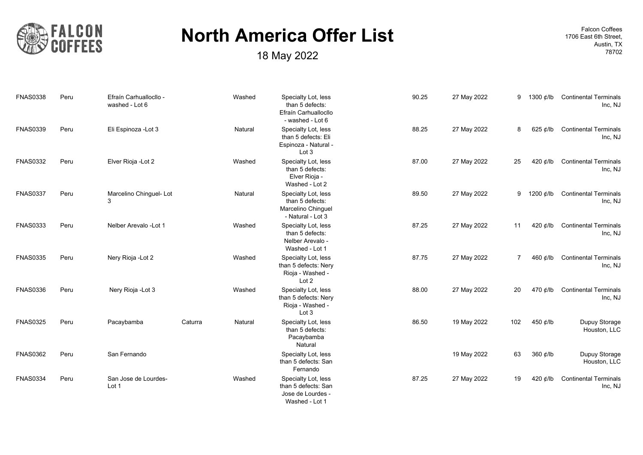

**18 May 2022 18 May 2022 18 May 2022 18 May 2022 18 May 2022 18 May 2022 18 May 2022 18 May 18702 18702** 

| <b>FNAS0338</b> | Peru | Efraín Carhuallocllo -<br>washed - Lot 6 |         | Washed  | Specialty Lot, less<br>than 5 defects:<br>Efraín Carhuallocllo<br>- washed - Lot 6 | 90.25 | 27 May 2022 | 9              | 1300 ¢/lb      | <b>Continental Terminals</b><br>Inc, NJ |
|-----------------|------|------------------------------------------|---------|---------|------------------------------------------------------------------------------------|-------|-------------|----------------|----------------|-----------------------------------------|
| <b>FNAS0339</b> | Peru | Eli Espinoza - Lot 3                     |         | Natural | Specialty Lot, less<br>than 5 defects: Eli<br>Espinoza - Natural -<br>Lot 3        | 88.25 | 27 May 2022 | 8              | 625 ¢/lb       | <b>Continental Terminals</b><br>Inc, NJ |
| <b>FNAS0332</b> | Peru | Elver Rioja - Lot 2                      |         | Washed  | Specialty Lot, less<br>than 5 defects:<br>Elver Rioja -<br>Washed - Lot 2          | 87.00 | 27 May 2022 | 25             | 420 ¢/lb       | <b>Continental Terminals</b><br>Inc, NJ |
| <b>FNAS0337</b> | Peru | Marcelino Chinguel-Lot<br>3              |         | Natural | Specialty Lot, less<br>than 5 defects:<br>Marcelino Chinguel<br>- Natural - Lot 3  | 89.50 | 27 May 2022 | 9              | 1200 ¢/lb      | <b>Continental Terminals</b><br>Inc, NJ |
| <b>FNAS0333</b> | Peru | Nelber Arevalo - Lot 1                   |         | Washed  | Specialty Lot, less<br>than 5 defects:<br>Nelber Arevalo -<br>Washed - Lot 1       | 87.25 | 27 May 2022 | 11             | 420 ¢/lb       | <b>Continental Terminals</b><br>Inc, NJ |
| <b>FNAS0335</b> | Peru | Nery Rioja - Lot 2                       |         | Washed  | Specialty Lot, less<br>than 5 defects: Nery<br>Rioja - Washed -<br>Lot 2           | 87.75 | 27 May 2022 | $\overline{7}$ | 460 ¢/lb       | <b>Continental Terminals</b><br>Inc, NJ |
| <b>FNAS0336</b> | Peru | Nery Rioja - Lot 3                       |         | Washed  | Specialty Lot, less<br>than 5 defects: Nery<br>Rioja - Washed -<br>Lot 3           | 88.00 | 27 May 2022 | 20             | 470 ¢/lb       | <b>Continental Terminals</b><br>Inc, NJ |
| <b>FNAS0325</b> | Peru | Pacaybamba                               | Caturra | Natural | Specialty Lot, less<br>than 5 defects:<br>Pacaybamba<br>Natural                    | 86.50 | 19 May 2022 | 102            | 450 ¢/lb       | Dupuy Storage<br>Houston, LLC           |
| <b>FNAS0362</b> | Peru | San Fernando                             |         |         | Specialty Lot, less<br>than 5 defects: San<br>Fernando                             |       | 19 May 2022 | 63             | 360 $¢$ /lb    | Dupuy Storage<br>Houston, LLC           |
| <b>FNAS0334</b> | Peru | San Jose de Lourdes-<br>Lot 1            |         | Washed  | Specialty Lot, less<br>than 5 defects: San<br>Jose de Lourdes -<br>Washed - Lot 1  | 87.25 | 27 May 2022 | 19             | 420 $\phi$ /lb | <b>Continental Terminals</b><br>Inc, NJ |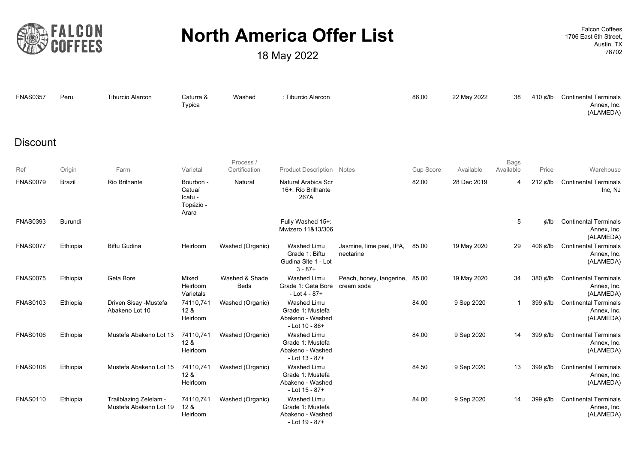

| <b>FNAS0357</b> | Peru | Tiburcio Alarcon | Caturra &    | Washed | : Tiburcio Alarcon | 86.00 | 22 May 2022 |  | 38 410 ¢/lb Continental Terminals |
|-----------------|------|------------------|--------------|--------|--------------------|-------|-------------|--|-----------------------------------|
|                 |      |                  | $\tau$ ypica |        |                    |       |             |  | Annex, Inc.                       |
|                 |      |                  |              |        |                    |       |             |  | (ALAMEDA)                         |

#### **Discount**

|                 |               |                                                  |                                                      | Process /                     |                                                                                |                                        |           |             | <b>Bags</b> |                  |                                                          |
|-----------------|---------------|--------------------------------------------------|------------------------------------------------------|-------------------------------|--------------------------------------------------------------------------------|----------------------------------------|-----------|-------------|-------------|------------------|----------------------------------------------------------|
| Ref             | Origin        | Farm                                             | Varietal                                             | Certification                 | <b>Product Description Notes</b>                                               |                                        | Cup Score | Available   | Available   | Price            | Warehouse                                                |
| <b>FNAS0079</b> | <b>Brazil</b> | <b>Rio Brilhante</b>                             | Bourbon -<br>Catuaí<br>Icatu -<br>Topázio -<br>Arara | Natural                       | Natural Arabica Scr<br>16+: Rio Brilhante<br>267A                              |                                        | 82.00     | 28 Dec 2019 | 4           | $212 \notin$ /lb | <b>Continental Terminals</b><br>Inc, NJ                  |
| <b>FNAS0393</b> | Burundi       |                                                  |                                                      |                               | Fully Washed 15+:<br>Mwizero 11&13/306                                         |                                        |           |             | 5           | d/lb             | <b>Continental Terminals</b><br>Annex, Inc.<br>(ALAMEDA) |
| <b>FNAS0077</b> | Ethiopia      | <b>Biftu Gudina</b>                              | Heirloom                                             | Washed (Organic)              | Washed Limu<br>Grade 1: Biftu<br>Gudina Site 1 - Lot<br>$3 - 87 +$             | Jasmine, lime peel, IPA,<br>nectarine  | 85.00     | 19 May 2020 | 29          | 406 $\phi$ /lb   | <b>Continental Terminals</b><br>Annex, Inc.<br>(ALAMEDA) |
| <b>FNAS0075</b> | Ethiopia      | Geta Bore                                        | Mixed<br>Heirloom<br>Varietals                       | Washed & Shade<br><b>Beds</b> | <b>Washed Limu</b><br>Grade 1: Geta Bore<br>$-Lot 4 - 87 +$                    | Peach, honey, tangerine,<br>cream soda | 85.00     | 19 May 2020 | 34          | 380 ¢/lb         | <b>Continental Terminals</b><br>Annex, Inc.<br>(ALAMEDA) |
| <b>FNAS0103</b> | Ethiopia      | Driven Sisay -Mustefa<br>Abakeno Lot 10          | 74110,741<br>128<br>Heirloom                         | Washed (Organic)              | <b>Washed Limu</b><br>Grade 1: Mustefa<br>Abakeno - Washed<br>$-$ Lot 10 - 86+ |                                        | 84.00     | 9 Sep 2020  | 1           | 399 $\phi$ /lb   | <b>Continental Terminals</b><br>Annex, Inc.<br>(ALAMEDA) |
| <b>FNAS0106</b> | Ethiopia      | Mustefa Abakeno Lot 13                           | 74110,741<br>12 <sub>8</sub><br>Heirloom             | Washed (Organic)              | <b>Washed Limu</b><br>Grade 1: Mustefa<br>Abakeno - Washed<br>$-Lot$ 13 - 87+  |                                        | 84.00     | 9 Sep 2020  | 14          | 399 ¢/lb         | <b>Continental Terminals</b><br>Annex, Inc.<br>(ALAMEDA) |
| <b>FNAS0108</b> | Ethiopia      | Mustefa Abakeno Lot 15                           | 74110,741<br>128<br>Heirloom                         | Washed (Organic)              | Washed Limu<br>Grade 1: Mustefa<br>Abakeno - Washed<br>- Lot 15 - 87+          |                                        | 84.50     | 9 Sep 2020  | 13          | 399 ¢/lb         | <b>Continental Terminals</b><br>Annex, Inc.<br>(ALAMEDA) |
| <b>FNAS0110</b> | Ethiopia      | Trailblazing Zelelam -<br>Mustefa Abakeno Lot 19 | 74110,741<br>128<br>Heirloom                         | Washed (Organic)              | Washed Limu<br>Grade 1: Mustefa<br>Abakeno - Washed<br>- Lot 19 - 87+          |                                        | 84.00     | 9 Sep 2020  | 14          | 399 ¢/lb         | <b>Continental Terminals</b><br>Annex, Inc.<br>(ALAMEDA) |